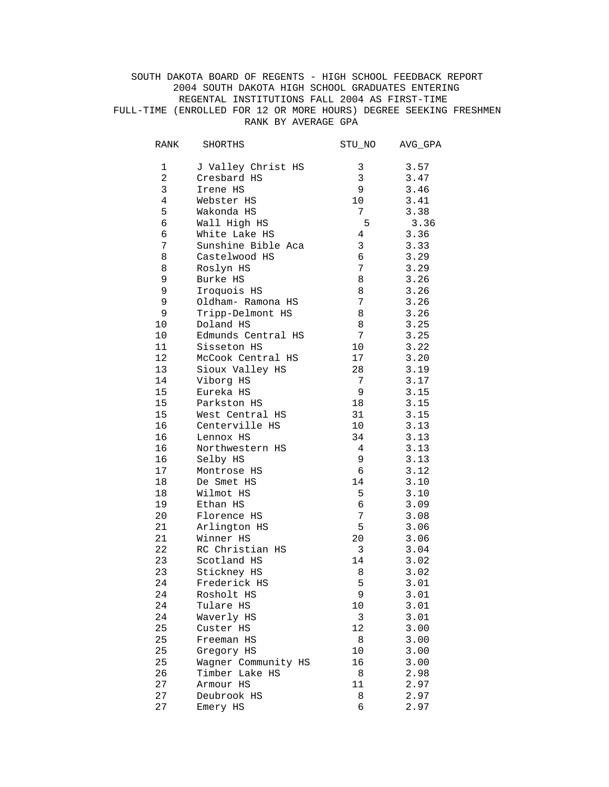SOUTH DAKOTA BOARD OF REGENTS - HIGH SCHOOL FEEDBACK REPORT 2004 SOUTH DAKOTA HIGH SCHOOL GRADUATES ENTERING REGENTAL INSTITUTIONS FALL 2004 AS FIRST-TIME FULL-TIME (ENROLLED FOR 12 OR MORE HOURS) DEGREE SEEKING FRESHMEN RANK BY AVERAGE GPA

| RANK           | SHORTHS             | STU_NO | AVG_GPA |
|----------------|---------------------|--------|---------|
| 1              | J Valley Christ HS  | 3      | 3.57    |
| $\overline{a}$ | Cresbard HS         | 3      | 3.47    |
| 3              | Irene HS            | 9      | 3.46    |
| 4              | Webster HS          | 10     | 3.41    |
| 5              | Wakonda HS          | 7      | 3.38    |
| 6              | Wall High HS        | 5      | 3.36    |
| 6              | White Lake HS       | 4      | 3.36    |
| 7              | Sunshine Bible Aca  | 3      | 3.33    |
| 8              | Castelwood HS       | 6      | 3.29    |
| 8              | Roslyn HS           | 7      | 3.29    |
| 9              | Burke HS            | 8      | 3.26    |
| 9              | Iroquois HS         | 8      | 3.26    |
| 9              | Oldham- Ramona HS   | 7      | 3.26    |
| 9              | Tripp-Delmont HS    | 8      | 3.26    |
| 10             | Doland HS           | 8      | 3.25    |
| 10             | Edmunds Central HS  | 7      | 3.25    |
| 11             | Sisseton HS         | 10     | 3.22    |
|                |                     |        |         |
| 12             | McCook Central HS   | 17     | 3.20    |
| 13             | Sioux Valley HS     | 28     | 3.19    |
| 14             | Viborg HS           | 7      | 3.17    |
| 15             | Eureka HS           | 9      | 3.15    |
| 15             | Parkston HS         | 18     | 3.15    |
| 15             | West Central HS     | 31     | 3.15    |
| 16             | Centerville HS      | 10     | 3.13    |
| 16             | Lennox HS           | 34     | 3.13    |
| 16             | Northwestern HS     | 4      | 3.13    |
| 16             | Selby HS            | 9      | 3.13    |
| 17             | Montrose HS         | 6      | 3.12    |
| 18             | De Smet HS          | 14     | 3.10    |
| 18             | Wilmot HS           | 5      | 3.10    |
| 19             | Ethan HS            | 6      | 3.09    |
| 20             | Florence HS         | 7      | 3.08    |
| 21             | Arlington HS        | 5      | 3.06    |
| 21             | Winner HS           | 20     | 3.06    |
| 22             | RC Christian HS     | 3      | 3.04    |
| 23             | Scotland HS         | 14     | 3.02    |
| 23             | Stickney HS         | 8      | 3.02    |
| 24             | Frederick HS        | 5      | 3.01    |
| 24             | Rosholt HS          | 9      | 3.01    |
| 24             | Tulare HS           | 10     | 3.01    |
| 24             | Waverly HS          | 3      | 3.01    |
| 25             | Custer HS           | 12     | 3.00    |
| 25             | Freeman HS          | 8      | 3.00    |
| 25             | Gregory HS          | 10     | 3.00    |
| 25             | Wagner Community HS | 16     | 3.00    |
| 26             | Timber Lake HS      | 8      | 2.98    |
| 27             | Armour HS           | 11     | 2.97    |
| 27             | Deubrook HS         | 8      | 2.97    |
| 27             | Emery HS            | 6      | 2.97    |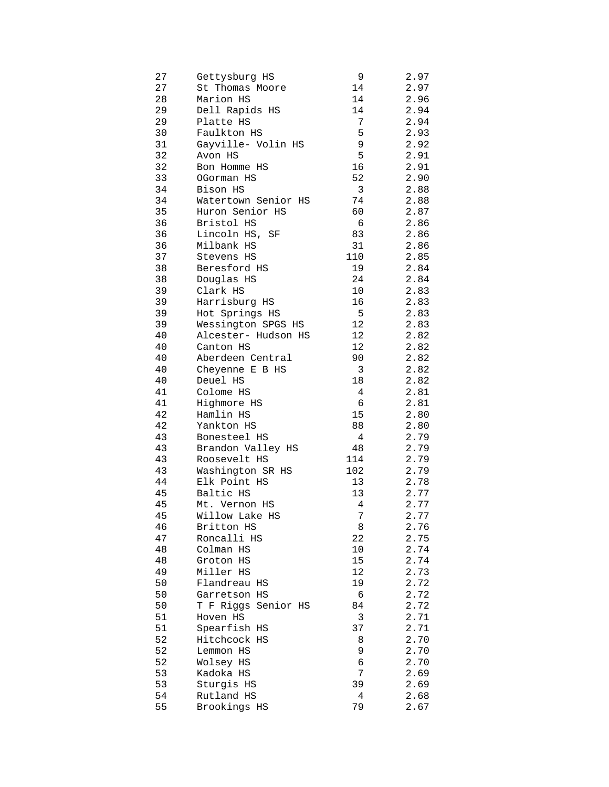| 27       | Gettysburg HS              | 9      | 2.97         |
|----------|----------------------------|--------|--------------|
| 27       | St Thomas Moore            | 14     | 2.97         |
| 28       | Marion HS                  | 14     | 2.96         |
| 29       | Dell Rapids HS             | 14     | 2.94         |
| 29       | Platte HS                  | 7      | 2.94         |
| 30       | Faulkton HS                | 5      | 2.93         |
| 31       | Gayville- Volin HS         | 9      | 2.92         |
| 32       | Avon HS                    | 5      | 2.91         |
| 32       | Bon Homme HS               | 16     | 2.91         |
| 33       | OGorman HS                 | 52     | 2.90         |
| 34       | Bison HS                   | 3      | 2.88         |
| 34       | Watertown Senior HS        | 74     | 2.88         |
| 35       | Huron Senior HS            | 60     | 2.87         |
| 36       | Bristol HS                 | 6      | 2.86         |
| 36       | Lincoln HS, SF             | 83     | 2.86         |
| 36       | Milbank HS                 | 31     | 2.86         |
| 37       | Stevens HS                 | 110    | 2.85         |
| 38       | Beresford HS               | 19     | 2.84         |
| 38       | Douglas HS                 | 24     | 2.84         |
| 39       | Clark HS                   | 10     | 2.83         |
| 39       | Harrisburg HS              | 16     | 2.83         |
| 39       | Hot Springs HS             | 5      | 2.83         |
| 39       | Wessington SPGS HS         | 12     | 2.83         |
| 40       | Alcester- Hudson HS        | 12     | 2.82         |
| 40       | Canton HS                  | 12     | 2.82         |
| 40       | Aberdeen Central           | 90     | 2.82         |
| 40       | Cheyenne E B HS            | 3      | 2.82         |
| 40       | Deuel HS                   | 18     | 2.82         |
| 41       | Colome HS                  | 4      | 2.81         |
| 41       | Highmore HS                | 6      | 2.81         |
| 42       | Hamlin HS                  | 15     | 2.80         |
| 42       | Yankton HS                 | 88     | 2.80         |
| 43       | Bonesteel HS               | 4      | 2.79         |
| 43       | Brandon Valley HS          | 48     | 2.79         |
| 43       | Roosevelt HS               | 114    | 2.79         |
| 43       | Washington SR HS           | 102    | 2.79         |
| 44       | Elk Point HS               | 13     | 2.78         |
| 45       | Baltic HS                  | 13     | 2.77         |
| 45       | Mt. Vernon HS              | 4      | 2.77         |
| 45       | Willow Lake HS             | 7      | 2.77         |
| 46       | Britton HS                 | 8      | 2.76         |
| 47       | Roncalli HS                | 22     | 2.75         |
| 48       | Colman HS                  | 10     | 2.74         |
| 48       | Groton HS                  | 15     | 2.74         |
| 49       | Miller HS                  | 12     | 2.73         |
| 50       | Flandreau HS               | 19     | 2.72         |
| 50       | Garretson HS               | 6      | 2.72         |
| 50       | T F Riggs Senior HS        | 84     | 2.72         |
| 51       | Hoven HS                   | 3      | 2.71         |
| 51       | Spearfish HS               | 37     | 2.71         |
| 52       | Hitchcock HS               | 8      | 2.70         |
| 52       | Lemmon HS                  | 9      | 2.70         |
| 52       | Wolsey HS                  | 6<br>7 | 2.70         |
| 53<br>53 | Kadoka HS                  | 39     | 2.69         |
| 54       | Sturgis HS                 | 4      | 2.69         |
| 55       | Rutland HS<br>Brookings HS | 79     | 2.68<br>2.67 |
|          |                            |        |              |